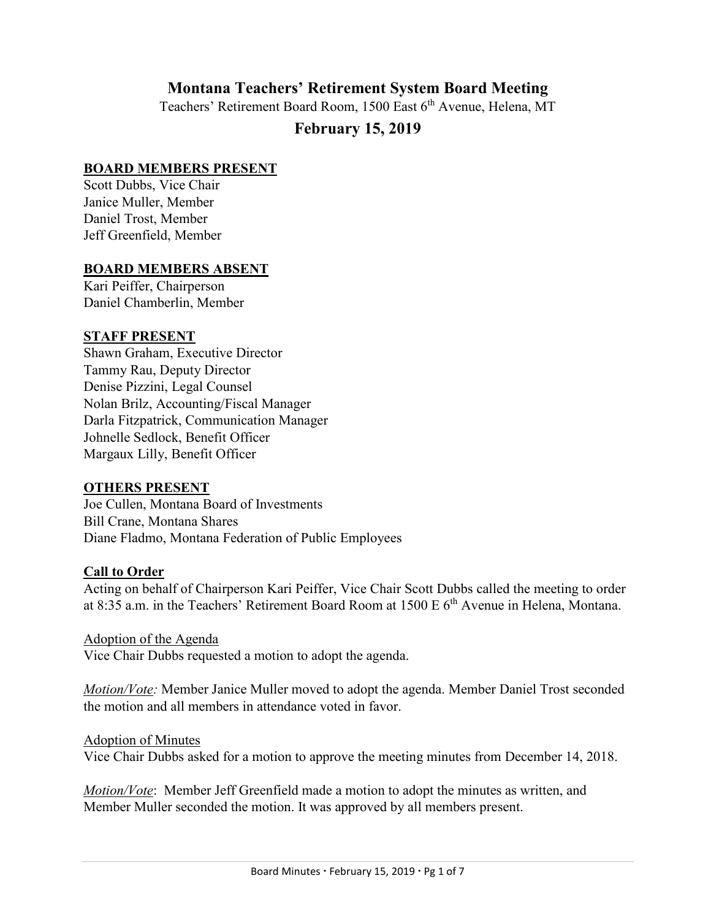# **Montana Teachers' Retirement System Board Meeting**

Teachers' Retirement Board Room, 1500 East 6<sup>th</sup> Avenue, Helena, MT

# **February 15, 2019**

#### **BOARD MEMBERS PRESENT**

Scott Dubbs, Vice Chair Janice Muller, Member Daniel Trost, Member Jeff Greenfield, Member

#### **BOARD MEMBERS ABSENT**

Kari Peiffer, Chairperson Daniel Chamberlin, Member

#### **STAFF PRESENT**

Shawn Graham, Executive Director Tammy Rau, Deputy Director Denise Pizzini, Legal Counsel Nolan Brilz, Accounting/Fiscal Manager Darla Fitzpatrick, Communication Manager Johnelle Sedlock, Benefit Officer Margaux Lilly, Benefit Officer

## **OTHERS PRESENT**

Joe Cullen, Montana Board of Investments Bill Crane, Montana Shares Diane Fladmo, Montana Federation of Public Employees

## **Call to Order**

Acting on behalf of Chairperson Kari Peiffer, Vice Chair Scott Dubbs called the meeting to order at 8:35 a.m. in the Teachers' Retirement Board Room at 1500 E 6<sup>th</sup> Avenue in Helena, Montana.

Adoption of the Agenda Vice Chair Dubbs requested a motion to adopt the agenda.

*Motion/Vote:* Member Janice Muller moved to adopt the agenda. Member Daniel Trost seconded the motion and all members in attendance voted in favor.

#### Adoption of Minutes

Vice Chair Dubbs asked for a motion to approve the meeting minutes from December 14, 2018.

*Motion/Vote*: Member Jeff Greenfield made a motion to adopt the minutes as written, and Member Muller seconded the motion. It was approved by all members present.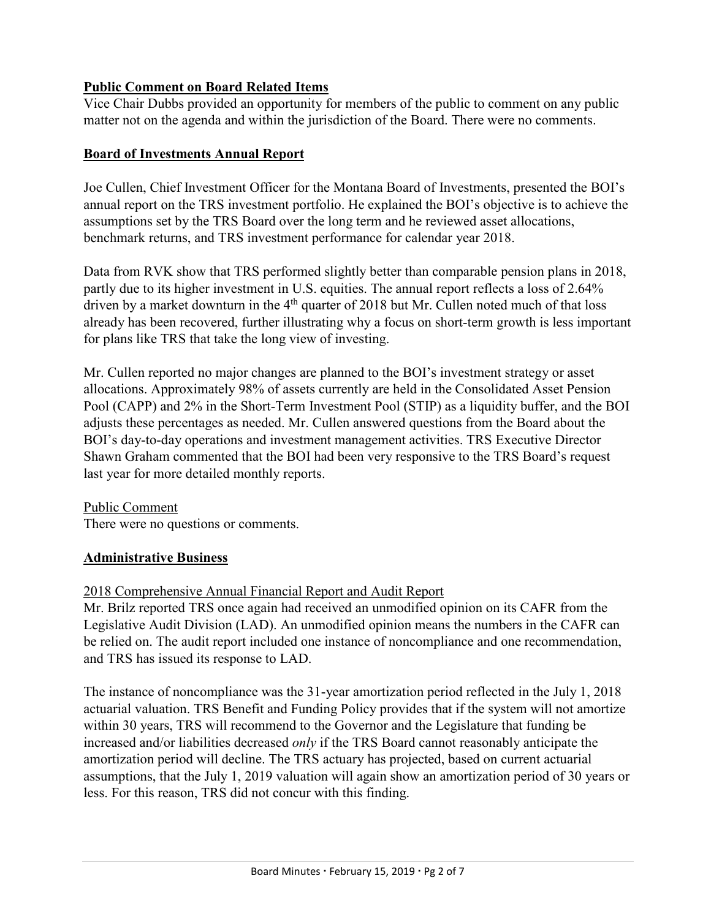## **Public Comment on Board Related Items**

Vice Chair Dubbs provided an opportunity for members of the public to comment on any public matter not on the agenda and within the jurisdiction of the Board. There were no comments.

#### **Board of Investments Annual Report**

Joe Cullen, Chief Investment Officer for the Montana Board of Investments, presented the BOI's annual report on the TRS investment portfolio. He explained the BOI's objective is to achieve the assumptions set by the TRS Board over the long term and he reviewed asset allocations, benchmark returns, and TRS investment performance for calendar year 2018.

Data from RVK show that TRS performed slightly better than comparable pension plans in 2018, partly due to its higher investment in U.S. equities. The annual report reflects a loss of 2.64% driven by a market downturn in the  $4<sup>th</sup>$  quarter of 2018 but Mr. Cullen noted much of that loss already has been recovered, further illustrating why a focus on short-term growth is less important for plans like TRS that take the long view of investing.

Mr. Cullen reported no major changes are planned to the BOI's investment strategy or asset allocations. Approximately 98% of assets currently are held in the Consolidated Asset Pension Pool (CAPP) and 2% in the Short-Term Investment Pool (STIP) as a liquidity buffer, and the BOI adjusts these percentages as needed. Mr. Cullen answered questions from the Board about the BOI's day-to-day operations and investment management activities. TRS Executive Director Shawn Graham commented that the BOI had been very responsive to the TRS Board's request last year for more detailed monthly reports.

## Public Comment

There were no questions or comments.

## **Administrative Business**

## 2018 Comprehensive Annual Financial Report and Audit Report

Mr. Brilz reported TRS once again had received an unmodified opinion on its CAFR from the Legislative Audit Division (LAD). An unmodified opinion means the numbers in the CAFR can be relied on. The audit report included one instance of noncompliance and one recommendation, and TRS has issued its response to LAD.

The instance of noncompliance was the 31-year amortization period reflected in the July 1, 2018 actuarial valuation. TRS Benefit and Funding Policy provides that if the system will not amortize within 30 years, TRS will recommend to the Governor and the Legislature that funding be increased and/or liabilities decreased *only* if the TRS Board cannot reasonably anticipate the amortization period will decline. The TRS actuary has projected, based on current actuarial assumptions, that the July 1, 2019 valuation will again show an amortization period of 30 years or less. For this reason, TRS did not concur with this finding.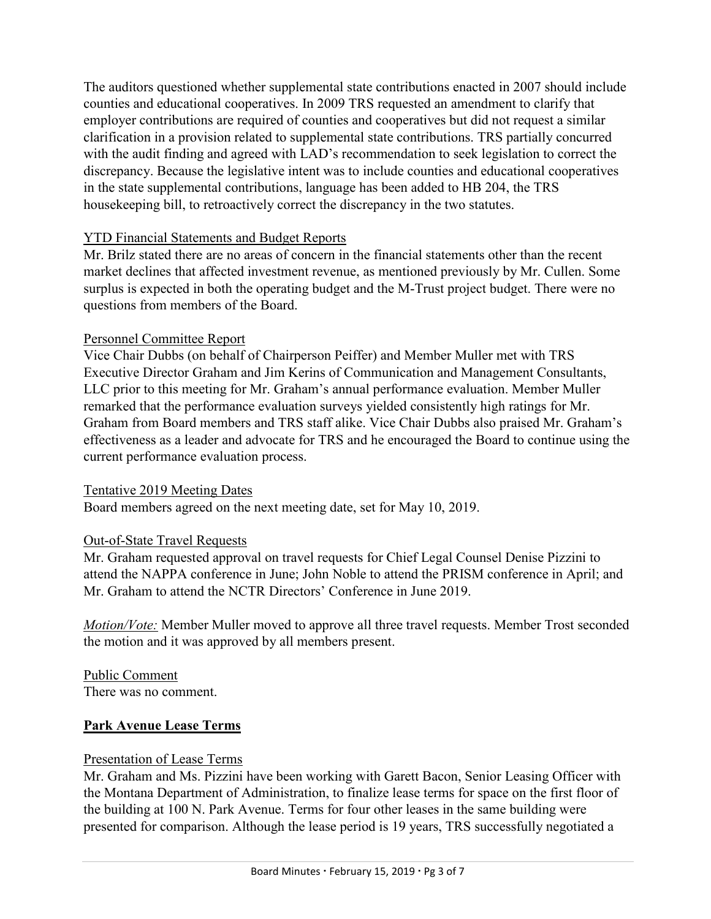The auditors questioned whether supplemental state contributions enacted in 2007 should include counties and educational cooperatives. In 2009 TRS requested an amendment to clarify that employer contributions are required of counties and cooperatives but did not request a similar clarification in a provision related to supplemental state contributions. TRS partially concurred with the audit finding and agreed with LAD's recommendation to seek legislation to correct the discrepancy. Because the legislative intent was to include counties and educational cooperatives in the state supplemental contributions, language has been added to HB 204, the TRS housekeeping bill, to retroactively correct the discrepancy in the two statutes.

## YTD Financial Statements and Budget Reports

Mr. Brilz stated there are no areas of concern in the financial statements other than the recent market declines that affected investment revenue, as mentioned previously by Mr. Cullen. Some surplus is expected in both the operating budget and the M-Trust project budget. There were no questions from members of the Board.

## Personnel Committee Report

Vice Chair Dubbs (on behalf of Chairperson Peiffer) and Member Muller met with TRS Executive Director Graham and Jim Kerins of Communication and Management Consultants, LLC prior to this meeting for Mr. Graham's annual performance evaluation. Member Muller remarked that the performance evaluation surveys yielded consistently high ratings for Mr. Graham from Board members and TRS staff alike. Vice Chair Dubbs also praised Mr. Graham's effectiveness as a leader and advocate for TRS and he encouraged the Board to continue using the current performance evaluation process.

## Tentative 2019 Meeting Dates

Board members agreed on the next meeting date, set for May 10, 2019.

# Out-of-State Travel Requests

Mr. Graham requested approval on travel requests for Chief Legal Counsel Denise Pizzini to attend the NAPPA conference in June; John Noble to attend the PRISM conference in April; and Mr. Graham to attend the NCTR Directors' Conference in June 2019.

*Motion/Vote:* Member Muller moved to approve all three travel requests. Member Trost seconded the motion and it was approved by all members present.

Public Comment There was no comment.

## **Park Avenue Lease Terms**

## Presentation of Lease Terms

Mr. Graham and Ms. Pizzini have been working with Garett Bacon, Senior Leasing Officer with the Montana Department of Administration, to finalize lease terms for space on the first floor of the building at 100 N. Park Avenue. Terms for four other leases in the same building were presented for comparison. Although the lease period is 19 years, TRS successfully negotiated a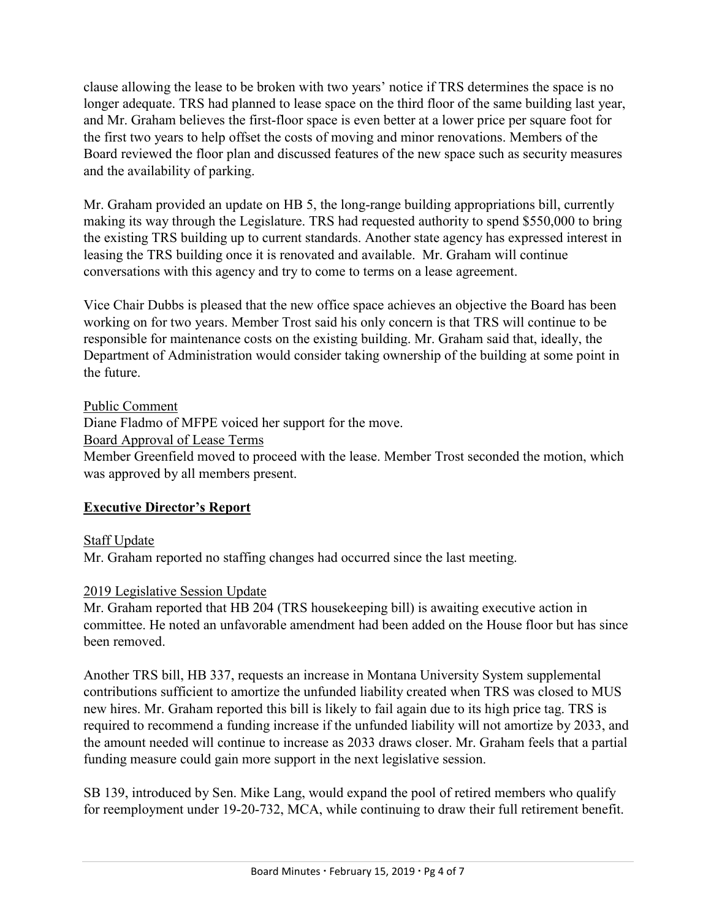clause allowing the lease to be broken with two years' notice if TRS determines the space is no longer adequate. TRS had planned to lease space on the third floor of the same building last year, and Mr. Graham believes the first-floor space is even better at a lower price per square foot for the first two years to help offset the costs of moving and minor renovations. Members of the Board reviewed the floor plan and discussed features of the new space such as security measures and the availability of parking.

Mr. Graham provided an update on HB 5, the long-range building appropriations bill, currently making its way through the Legislature. TRS had requested authority to spend \$550,000 to bring the existing TRS building up to current standards. Another state agency has expressed interest in leasing the TRS building once it is renovated and available. Mr. Graham will continue conversations with this agency and try to come to terms on a lease agreement.

Vice Chair Dubbs is pleased that the new office space achieves an objective the Board has been working on for two years. Member Trost said his only concern is that TRS will continue to be responsible for maintenance costs on the existing building. Mr. Graham said that, ideally, the Department of Administration would consider taking ownership of the building at some point in the future.

Public Comment Diane Fladmo of MFPE voiced her support for the move. Board Approval of Lease Terms Member Greenfield moved to proceed with the lease. Member Trost seconded the motion, which was approved by all members present.

# **Executive Director's Report**

Staff Update

Mr. Graham reported no staffing changes had occurred since the last meeting.

## 2019 Legislative Session Update

Mr. Graham reported that HB 204 (TRS housekeeping bill) is awaiting executive action in committee. He noted an unfavorable amendment had been added on the House floor but has since been removed.

Another TRS bill, HB 337, requests an increase in Montana University System supplemental contributions sufficient to amortize the unfunded liability created when TRS was closed to MUS new hires. Mr. Graham reported this bill is likely to fail again due to its high price tag. TRS is required to recommend a funding increase if the unfunded liability will not amortize by 2033, and the amount needed will continue to increase as 2033 draws closer. Mr. Graham feels that a partial funding measure could gain more support in the next legislative session.

SB 139, introduced by Sen. Mike Lang, would expand the pool of retired members who qualify for reemployment under 19-20-732, MCA, while continuing to draw their full retirement benefit.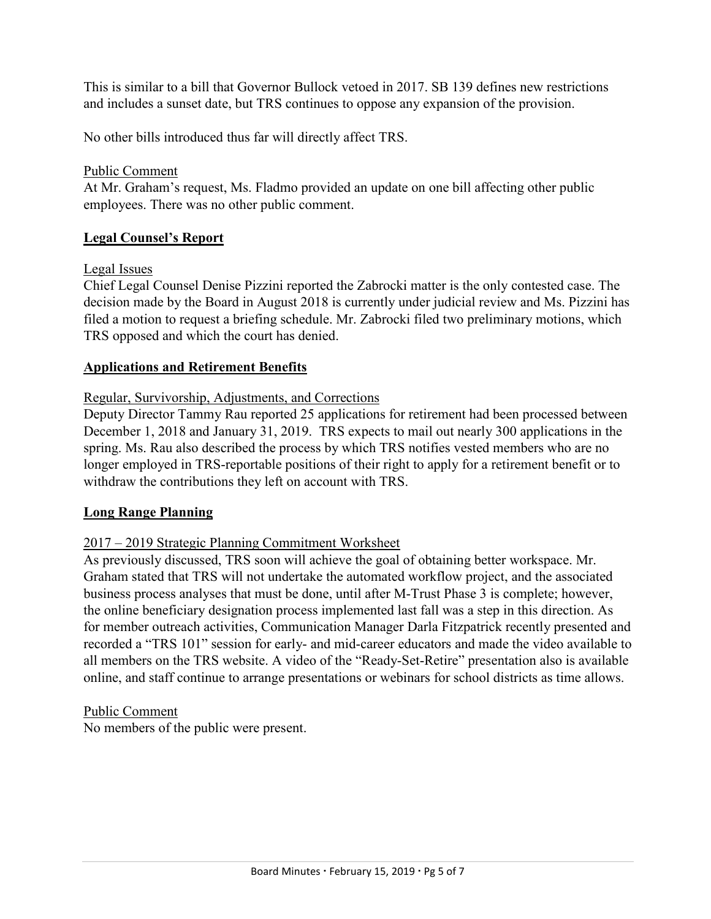This is similar to a bill that Governor Bullock vetoed in 2017. SB 139 defines new restrictions and includes a sunset date, but TRS continues to oppose any expansion of the provision.

No other bills introduced thus far will directly affect TRS.

## Public Comment

At Mr. Graham's request, Ms. Fladmo provided an update on one bill affecting other public employees. There was no other public comment.

## **Legal Counsel's Report**

Legal Issues

Chief Legal Counsel Denise Pizzini reported the Zabrocki matter is the only contested case. The decision made by the Board in August 2018 is currently under judicial review and Ms. Pizzini has filed a motion to request a briefing schedule. Mr. Zabrocki filed two preliminary motions, which TRS opposed and which the court has denied.

## **Applications and Retirement Benefits**

## Regular, Survivorship, Adjustments, and Corrections

Deputy Director Tammy Rau reported 25 applications for retirement had been processed between December 1, 2018 and January 31, 2019. TRS expects to mail out nearly 300 applications in the spring. Ms. Rau also described the process by which TRS notifies vested members who are no longer employed in TRS-reportable positions of their right to apply for a retirement benefit or to withdraw the contributions they left on account with TRS.

## **Long Range Planning**

## 2017 – 2019 Strategic Planning Commitment Worksheet

As previously discussed, TRS soon will achieve the goal of obtaining better workspace. Mr. Graham stated that TRS will not undertake the automated workflow project, and the associated business process analyses that must be done, until after M-Trust Phase 3 is complete; however, the online beneficiary designation process implemented last fall was a step in this direction. As for member outreach activities, Communication Manager Darla Fitzpatrick recently presented and recorded a "TRS 101" session for early- and mid-career educators and made the video available to all members on the TRS website. A video of the "Ready-Set-Retire" presentation also is available online, and staff continue to arrange presentations or webinars for school districts as time allows.

Public Comment

No members of the public were present.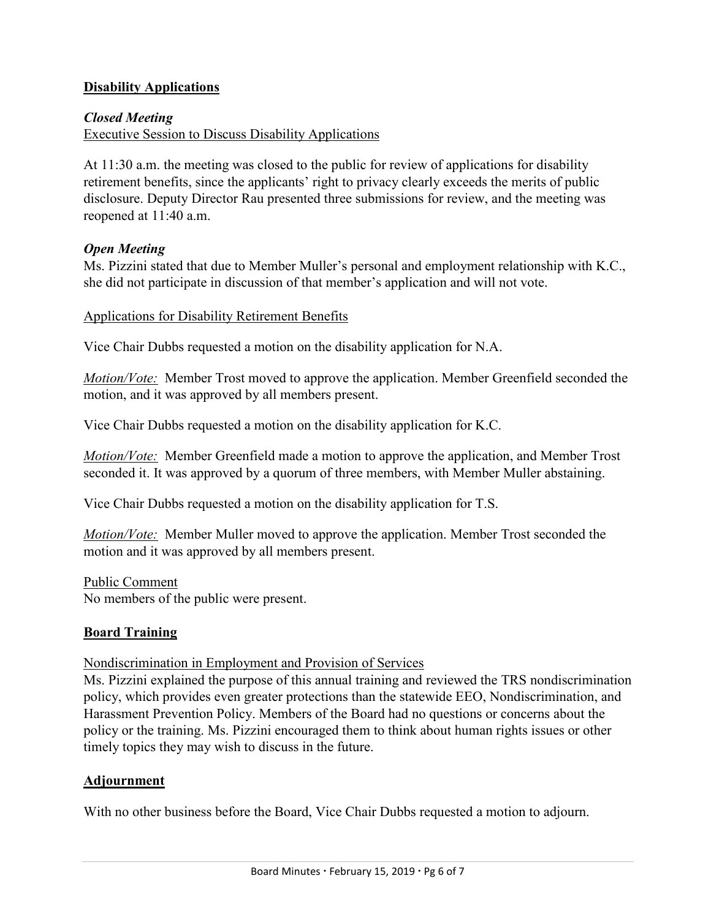## **Disability Applications**

## *Closed Meeting*

Executive Session to Discuss Disability Applications

At 11:30 a.m. the meeting was closed to the public for review of applications for disability retirement benefits, since the applicants' right to privacy clearly exceeds the merits of public disclosure. Deputy Director Rau presented three submissions for review, and the meeting was reopened at 11:40 a.m.

## *Open Meeting*

Ms. Pizzini stated that due to Member Muller's personal and employment relationship with K.C., she did not participate in discussion of that member's application and will not vote.

## Applications for Disability Retirement Benefits

Vice Chair Dubbs requested a motion on the disability application for N.A.

*Motion/Vote:* Member Trost moved to approve the application. Member Greenfield seconded the motion, and it was approved by all members present.

Vice Chair Dubbs requested a motion on the disability application for K.C.

*Motion/Vote:* Member Greenfield made a motion to approve the application, and Member Trost seconded it. It was approved by a quorum of three members, with Member Muller abstaining.

Vice Chair Dubbs requested a motion on the disability application for T.S.

*Motion/Vote:* Member Muller moved to approve the application. Member Trost seconded the motion and it was approved by all members present.

Public Comment No members of the public were present.

# **Board Training**

## Nondiscrimination in Employment and Provision of Services

Ms. Pizzini explained the purpose of this annual training and reviewed the TRS nondiscrimination policy, which provides even greater protections than the statewide EEO, Nondiscrimination, and Harassment Prevention Policy. Members of the Board had no questions or concerns about the policy or the training. Ms. Pizzini encouraged them to think about human rights issues or other timely topics they may wish to discuss in the future.

## **Adjournment**

With no other business before the Board, Vice Chair Dubbs requested a motion to adjourn.